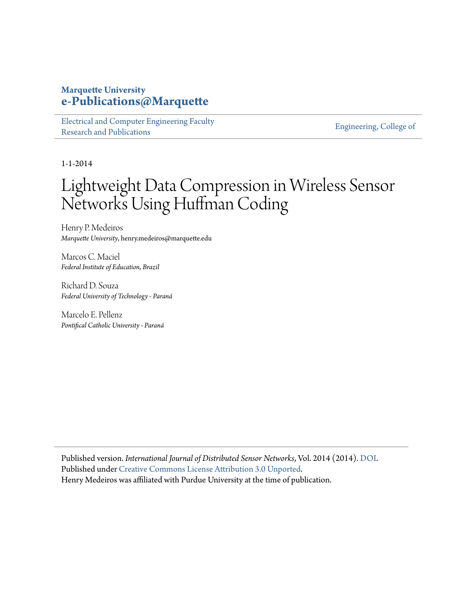### **Marquette University [e-Publications@Marquette](http://epublications.marquette.edu)**

[Electrical and Computer Engineering Faculty](http://epublications.marquette.edu/electric_fac) [Research and Publications](http://epublications.marquette.edu/electric_fac)

[Engineering, College of](http://epublications.marquette.edu/engineering)

1-1-2014

# Lightweight Data Compression in Wireless Sensor Networks Using Huffman Coding

Henry P. Medeiros *Marquette University*, henry.medeiros@marquette.edu

Marcos C. Maciel *Federal Institute of Education, Brazil*

Richard D. Souza *Federal University of Technology - Paraná*

Marcelo E. Pellenz *Pontifical Catholic University - Paraná*

Published version. *International Journal of Distributed Sensor Networks*, Vol. 2014 (2014). [DOI.](http://dx.doi.org/10.1155/2014/672921) Published under [Creative Commons License Attribution 3.0 Unported.](http://creativecommons.org/licenses/by/3.0/) Henry Medeiros was affiliated with Purdue University at the time of publication.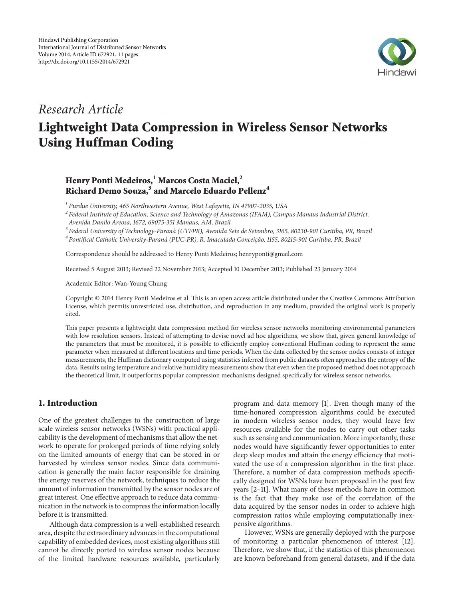

## *Research Article*

## **Lightweight Data Compression in Wireless Sensor Networks Using Huffman Coding**

#### **Henry Ponti Medeiros,<sup>1</sup> Marcos Costa Maciel,2 Richard Demo Souza,3 and Marcelo Eduardo Pellenz<sup>4</sup>**

*<sup>1</sup> Purdue University, 465 Northwestern Avenue, West Lafayette, IN 47907-2035, USA*

*<sup>2</sup> Federal Institute of Education, Science and Technology of Amazonas (IFAM), Campus Manaus Industrial District, Avenida Danilo Areosa, 1672, 69075-351 Manaus, AM, Brazil*

*<sup>3</sup> Federal University of Technology-Parana (UTFPR), Avenida Sete de Setembro, 3165, 80230-901 Curitiba, PR, Brazil ´*

<sup>4</sup> Pontifical Catholic University-Paraná (PUC-PR), R. Imaculada Conceição, 1155, 80215-901 Curitiba, PR, Brazil

Correspondence should be addressed to Henry Ponti Medeiros; henryponti@gmail.com

Received 5 August 2013; Revised 22 November 2013; Accepted 10 December 2013; Published 23 January 2014

Academic Editor: Wan-Young Chung

Copyright © 2014 Henry Ponti Medeiros et al. This is an open access article distributed under the Creative Commons Attribution License, which permits unrestricted use, distribution, and reproduction in any medium, provided the original work is properly cited.

This paper presents a lightweight data compression method for wireless sensor networks monitoring environmental parameters with low resolution sensors. Instead of attempting to devise novel ad hoc algorithms, we show that, given general knowledge of the parameters that must be monitored, it is possible to efficiently employ conventional Huffman coding to represent the same parameter when measured at different locations and time periods. When the data collected by the sensor nodes consists of integer measurements, the Huffman dictionary computed using statistics inferred from public datasets often approaches the entropy of the data. Results using temperature and relative humidity measurements show that even when the proposed method does not approach the theoretical limit, it outperforms popular compression mechanisms designed specifically for wireless sensor networks.

#### **1. Introduction**

One of the greatest challenges to the construction of large scale wireless sensor networks (WSNs) with practical applicability is the development of mechanisms that allow the network to operate for prolonged periods of time relying solely on the limited amounts of energy that can be stored in or harvested by wireless sensor nodes. Since data communication is generally the main factor responsible for draining the energy reserves of the network, techniques to reduce the amount of information transmitted by the sensor nodes are of great interest. One effective approach to reduce data communication in the network is to compress the information locally before it is transmitted.

Although data compression is a well-established research area, despite the extraordinary advances in the computational capability of embedded devices, most existing algorithms still cannot be directly ported to wireless sensor nodes because of the limited hardware resources available, particularly

program and data memory [1]. Even though many of the time-honored compression algorithms could be executed in modern wireless sensor nodes, they would leave few resources available for the nodes to carry out other tasks such as sensing and communication. More importantly, these nodes would have significantly fewer opportunities to enter deep sleep modes and attain the energy efficiency that motivated the use of a compression algorithm in the first place. Therefore, a number of data compression methods specifically designed for WSNs have been proposed in the past few years [2–11]. What many of these methods have in common is the fact that they make use of the correlation of the data acquired by the sensor nodes in order to achieve high compression ratios while employing computationally inexpensive algorithms.

However, WSNs are generally deployed with the purpose of monitoring a particular phenomenon of interest [12]. Therefore, we show that, if the statistics of this phenomenon are known beforehand from general datasets, and if the data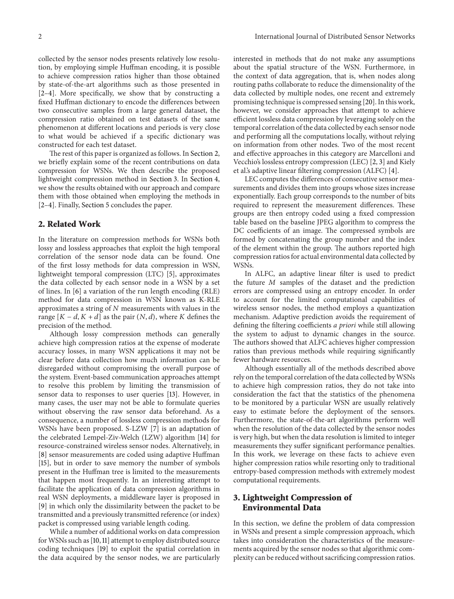collected by the sensor nodes presents relatively low resolution, by employing simple Huffman encoding, it is possible to achieve compression ratios higher than those obtained by state-of-the-art algorithms such as those presented in [2–4]. More specifically, we show that by constructing a fixed Huffman dictionary to encode the differences between two consecutive samples from a large general dataset, the compression ratio obtained on test datasets of the same phenomenon at different locations and periods is very close to what would be achieved if a specific dictionary was constructed for each test dataset.

The rest of this paper is organized as follows. In Section 2, we briefly explain some of the recent contributions on data compression for WSNs. We then describe the proposed lightweight compression method in Section 3. In Section 4, we show the results obtained with our approach and compare them with those obtained when employing the methods in [2–4]. Finally, Section 5 concludes the paper.

#### **2. Related Work**

In the literature on compression methods for WSNs both lossy and lossless approaches that exploit the high temporal correlation of the sensor node data can be found. One of the first lossy methods for data compression in WSN, lightweight temporal compression (LTC) [5], approximates the data collected by each sensor node in a WSN by a set of lines. In [6] a variation of the run length encoding (RLE) method for data compression in WSN known as K-RLE approximates a string of  $N$  measurements with values in the range  $[K - d, K + d]$  as the pair  $(N, d)$ , where K defines the precision of the method.

Although lossy compression methods can generally achieve high compression ratios at the expense of moderate accuracy losses, in many WSN applications it may not be clear before data collection how much information can be disregarded without compromising the overall purpose of the system. Event-based communication approaches attempt to resolve this problem by limiting the transmission of sensor data to responses to user queries [13]. However, in many cases, the user may not be able to formulate queries without observing the raw sensor data beforehand. As a consequence, a number of lossless compression methods for WSNs have been proposed. S-LZW [7] is an adaptation of the celebrated Lempel-Ziv-Welch (LZW) algorithm [14] for resource-constrained wireless sensor nodes. Alternatively, in [8] sensor measurements are coded using adaptive Huffman [15], but in order to save memory the number of symbols present in the Huffman tree is limited to the measurements that happen most frequently. In an interesting attempt to facilitate the application of data compression algorithms in real WSN deployments, a middleware layer is proposed in [9] in which only the dissimilarity between the packet to be transmitted and a previously transmitted reference (or index) packet is compressed using variable length coding.

While a number of additional works on data compression forWSNs such as [10,11] attempt to employ distributed source coding techniques [19] to exploit the spatial correlation in the data acquired by the sensor nodes, we are particularly interested in methods that do not make any assumptions about the spatial structure of the WSN. Furthermore, in the context of data aggregation, that is, when nodes along routing paths collaborate to reduce the dimensionality of the data collected by multiple nodes, one recent and extremely promising technique is compressed sensing [20]. In this work, however, we consider approaches that attempt to achieve efficient lossless data compression by leveraging solely on the temporal correlation of the data collected by each sensor node and performing all the computations locally, without relying on information from other nodes. Two of the most recent and effective approaches in this category are Marcelloni and Vecchio's lossless entropy compression (LEC) [2, 3] and Kiely et al.'s adaptive linear filtering compression (ALFC) [4].

LEC computes the differences of consecutive sensor measurements and divides them into groups whose sizes increase exponentially. Each group corresponds to the number of bits required to represent the measurement differences. These groups are then entropy coded using a fixed compression table based on the baseline JPEG algorithm to compress the DC coefficients of an image. The compressed symbols are formed by concatenating the group number and the index of the element within the group. The authors reported high compression ratios for actual environmental data collected by WSNs.

In ALFC, an adaptive linear filter is used to predict the future  $M$  samples of the dataset and the prediction errors are compressed using an entropy encoder. In order to account for the limited computational capabilities of wireless sensor nodes, the method employs a quantization mechanism. Adaptive prediction avoids the requirement of defining the filtering coefficients *a priori* while still allowing the system to adjust to dynamic changes in the source. The authors showed that ALFC achieves higher compression ratios than previous methods while requiring significantly fewer hardware resources.

Although essentially all of the methods described above rely on the temporal correlation of the data collected byWSNs to achieve high compression ratios, they do not take into consideration the fact that the statistics of the phenomena to be monitored by a particular WSN are usually relatively easy to estimate before the deployment of the sensors. Furthermore, the state-of-the-art algorithms perform well when the resolution of the data collected by the sensor nodes is very high, but when the data resolution is limited to integer measurements they suffer significant performance penalties. In this work, we leverage on these facts to achieve even higher compression ratios while resorting only to traditional entropy-based compression methods with extremely modest computational requirements.

#### **3. Lightweight Compression of Environmental Data**

In this section, we define the problem of data compression in WSNs and present a simple compression approach, which takes into consideration the characteristics of the measurements acquired by the sensor nodes so that algorithmic complexity can be reduced without sacrificing compression ratios.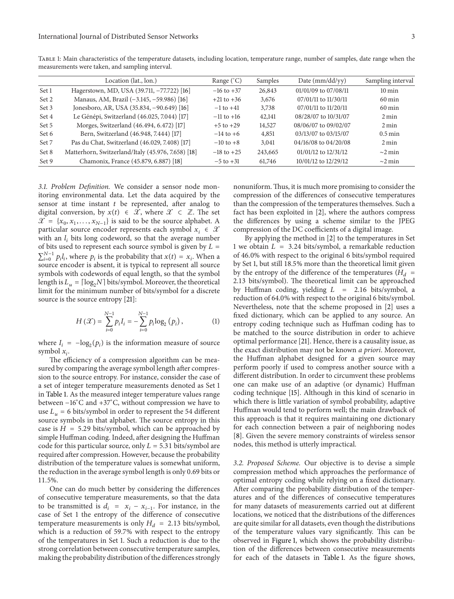|       | Location (lat., lon.)                              | Range $(^{\circ}C)$ | Samples | Date $(mm/dd/yy)$    | Sampling interval   |
|-------|----------------------------------------------------|---------------------|---------|----------------------|---------------------|
| Set 1 | Hagerstown, MD, USA (39.711, -77.722) [16]         | $-16$ to $+37$      | 26,843  | 01/01/09 to 07/08/11 | $10 \text{ min}$    |
| Set 2 | Manaus, AM, Brazil (-3.145, -59.986) [16]          | $+21$ to $+36$      | 3,676   | 07/01/11 to 11/30/11 | $60 \,\mathrm{min}$ |
| Set 3 | Jonesboro, AR, USA (35.834, -90.649) [16]          | $-1$ to $+41$       | 3,738   | 07/01/11 to 11/20/11 | $60 \,\mathrm{min}$ |
| Set 4 | Le Génépi, Switzerland (46.025, 7.044) [17]        | $-11$ to $+16$      | 42,141  | 08/28/07 to 10/31/07 | $2 \text{ min}$     |
| Set 5 | Morges, Switzerland (46.494, 6.472) [17]           | $+5$ to $+29$       | 14,527  | 08/06/07 to 09/02/07 | $2 \text{ min}$     |
| Set 6 | Bern, Switzerland (46.948, 7.444) [17]             | $-14$ to $+6$       | 4,851   | 03/13/07 to 03/15/07 | $0.5$ min           |
| Set 7 | Pas du Chat, Switzerland (46.029, 7.408) [17]      | $-10$ to $+8$       | 3,041   | 04/16/08 to 04/20/08 | $2 \text{ min}$     |
| Set 8 | Matterhorn, Switzerland/Italy (45.976, 7.658) [18] | $-18$ to $+25$      | 243,665 | 01/01/12 to 12/31/12 | $\sim$ 2 min        |
| Set 9 | Chamonix, France (45.879, 6.887) [18]              | $-5$ to $+31$       | 61,746  | 10/01/12 to 12/29/12 | $\sim$ 2 min        |

Table 1: Main characteristics of the temperature datasets, including location, temperature range, number of samples, date range when the measurements were taken, and sampling interval.

*3.1. Problem Definition.* We consider a sensor node monitoring environmental data. Let the data acquired by the sensor at time instant  $t$  be represented, after analog to digital conversion, by  $x(t) \in \mathcal{X}$ , where  $\mathcal{X} \subset \mathbb{Z}$ . The set  $\mathcal{X} = \{x_0, x_1, \ldots, x_{N-1}\}\$ is said to be the source alphabet. A particular source encoder represents each symbol  $x_i \in \mathcal{X}$ with an  $l_i$  bits long codeword, so that the average number of bits used to represent each source symbol is given by  $L =$  $\sum_{i=0}^{N-1} p_i l_i$ , where  $p_i$  is the probability that  $x(t) = x_i$ . When a source encoder is absent, it is typical to represent all source symbols with codewords of equal length, so that the symbol length is  $L_u = \lfloor \log_2 N \rfloor$  bits/symbol. Moreover, the theoretical limit for the minimum number of bits/symbol for a discrete source is the source entropy [21]:

$$
H(\mathcal{X}) = \sum_{i=0}^{N-1} p_i I_i = -\sum_{i=0}^{N-1} p_i \log_2 (p_i), \qquad (1)
$$

where  $I_i = -\log_2(p_i)$  is the information measure of source symbol  $x_i$ .

The efficiency of a compression algorithm can be measured by comparing the average symbol length after compression to the source entropy. For instance, consider the case of a set of integer temperature measurements denoted as Set 1 in Table 1. As the measured integer temperature values range between −16<sup>∘</sup> C and +37<sup>∘</sup> C, without compression we have to use  $L_u = 6$  bits/symbol in order to represent the 54 different source symbols in that alphabet. The source entropy in this case is  $H = 5.29$  bits/symbol, which can be approached by simple Huffman coding. Indeed, after designing the Huffman code for this particular source, only  $L = 5.31$  bits/symbol are required after compression. However, because the probability distribution of the temperature values is somewhat uniform, the reduction in the average symbol length is only 0.69 bits or 11.5%.

One can do much better by considering the differences of consecutive temperature measurements, so that the data to be transmitted is  $d_i = x_i - x_{i-1}$ . For instance, in the case of Set 1 the entropy of the difference of consecutive temperature measurements is only  $H_d = 2.13$  bits/symbol, which is a reduction of 59.7% with respect to the entropy of the temperatures in Set 1. Such a reduction is due to the strong correlation between consecutive temperature samples, making the probability distribution of the differences strongly nonuniform. Thus, it is much more promising to consider the compression of the differences of consecutive temperatures than the compression of the temperatures themselves. Such a fact has been exploited in [2], where the authors compress the differences by using a scheme similar to the JPEG compression of the DC coefficients of a digital image.

By applying the method in [2] to the temperatures in Set 1 we obtain  $L = 3.24$  bits/symbol, a remarkable reduction of 46.0% with respect to the original 6 bits/symbol required by Set 1, but still 18.5% more than the theoretical limit given by the entropy of the difference of the temperatures ( $H_d$  = 2.13 bits/symbol). The theoretical limit can be approached by Huffman coding, yielding  $L = 2.16$  bits/symbol, a reduction of 64.0% with respect to the original 6 bits/symbol. Nevertheless, note that the scheme proposed in [2] uses a fixed dictionary, which can be applied to any source. An entropy coding technique such as Huffman coding has to be matched to the source distribution in order to achieve optimal performance [21]. Hence, there is a causality issue, as the exact distribution may not be known *a priori*. Moreover, the Huffman alphabet designed for a given source may perform poorly if used to compress another source with a different distribution. In order to circumvent these problems one can make use of an adaptive (or dynamic) Huffman coding technique [15]. Although in this kind of scenario in which there is little variation of symbol probability, adaptive Huffman would tend to perform well; the main drawback of this approach is that it requires maintaining one dictionary for each connection between a pair of neighboring nodes [8]. Given the severe memory constraints of wireless sensor nodes, this method is utterly impractical.

*3.2. Proposed Scheme.* Our objective is to devise a simple compression method which approaches the performance of optimal entropy coding while relying on a fixed dictionary. After comparing the probability distribution of the temperatures and of the differences of consecutive temperatures for many datasets of measurements carried out at different locations, we noticed that the distributions of the differences are quite similar for all datasets, even though the distributions of the temperature values vary significantly. This can be observed in Figure 1, which shows the probability distribution of the differences between consecutive measurements for each of the datasets in Table 1. As the figure shows,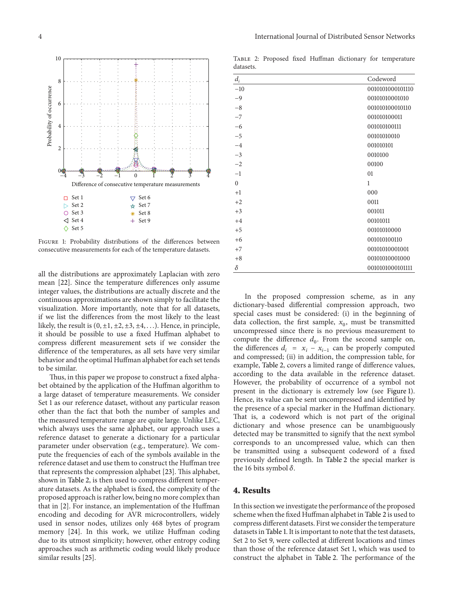

Figure 1: Probability distributions of the differences between consecutive measurements for each of the temperature datasets.

all the distributions are approximately Laplacian with zero mean [22]. Since the temperature differences only assume integer values, the distributions are actually discrete and the continuous approximations are shown simply to facilitate the visualization. More importantly, note that for all datasets, if we list the differences from the most likely to the least likely, the result is  $(0, \pm 1, \pm 2, \pm 3, \pm 4, ...)$ . Hence, in principle, it should be possible to use a fixed Huffman alphabet to compress different measurement sets if we consider the difference of the temperatures, as all sets have very similar behavior and the optimal Huffman alphabet for each set tends to be similar.

Thus, in this paper we propose to construct a fixed alphabet obtained by the application of the Huffman algorithm to a large dataset of temperature measurements. We consider Set 1 as our reference dataset, without any particular reason other than the fact that both the number of samples and the measured temperature range are quite large. Unlike LEC, which always uses the same alphabet, our approach uses a reference dataset to generate a dictionary for a particular parameter under observation (e.g., temperature). We compute the frequencies of each of the symbols available in the reference dataset and use them to construct the Huffman tree that represents the compression alphabet [23]. This alphabet, shown in Table 2, is then used to compress different temperature datasets. As the alphabet is fixed, the complexity of the proposed approach is rather low, being no more complex than that in [2]. For instance, an implementation of the Huffman encoding and decoding for AVR microcontrollers, widely used in sensor nodes, utilizes only 468 bytes of program memory [24]. In this work, we utilize Huffman coding due to its utmost simplicity; however, other entropy coding approaches such as arithmetic coding would likely produce similar results [25].

Table 2: Proposed fixed Huffman dictionary for temperature datasets.

| $d_i$    | Codeword         |
|----------|------------------|
| $-10$    | 0010101000101110 |
| $-9$     | 00101010001010   |
| $-8$     | 001010100010110  |
| $-7$     | 001010100011     |
| $-6$     | 001010100111     |
| $-5$     | 00101010010      |
| $-4$     | 001010101        |
| $-3$     | 0010100          |
| $-2$     | 00100            |
| $-1$     | 01               |
| $\Omega$ | 1                |
| $+1$     | 000              |
| $+2$     | 0011             |
| $+3$     | 001011           |
| $+4$     | 00101011         |
| $+5$     | 00101010000      |
| $+6$     | 001010100110     |
| $+7$     | 00101010001001   |
| $+8$     | 00101010001000   |
| $\delta$ | 0010101000101111 |

In the proposed compression scheme, as in any dictionary-based differential compression approach, two special cases must be considered: (i) in the beginning of data collection, the first sample,  $x_0$ , must be transmitted uncompressed since there is no previous measurement to compute the difference  $d_0$ . From the second sample on, the differences  $d_i = x_i - x_{i-1}$  can be properly computed and compressed; (ii) in addition, the compression table, for example, Table 2, covers a limited range of difference values, according to the data available in the reference dataset. However, the probability of occurrence of a symbol not present in the dictionary is extremely low (see Figure 1). Hence, its value can be sent uncompressed and identified by the presence of a special marker in the Huffman dictionary. That is, a codeword which is not part of the original dictionary and whose presence can be unambiguously detected may be transmitted to signify that the next symbol corresponds to an uncompressed value, which can then be transmitted using a subsequent codeword of a fixed previously defined length. In Table 2 the special marker is the 16 bits symbol  $\delta$ .

#### **4. Results**

In this section we investigate the performance of the proposed scheme when the fixed Huffman alphabet in Table 2 is used to compress different datasets. First we consider the temperature datasets in Table 1. It is important to note that the test datasets, Set 2 to Set 9, were collected at different locations and times than those of the reference dataset Set 1, which was used to construct the alphabet in Table 2. The performance of the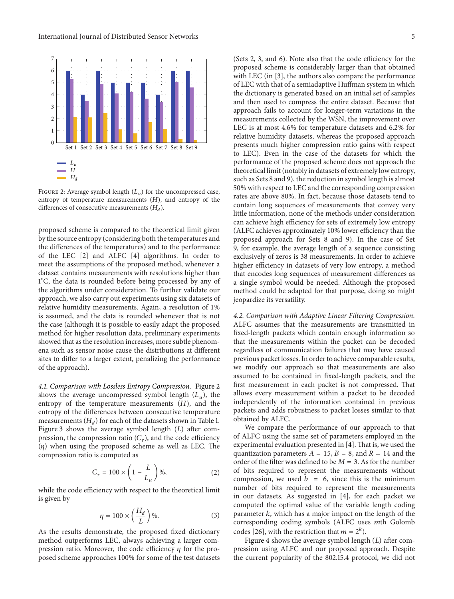

FIGURE 2: Average symbol length  $(L_u)$  for the uncompressed case, entropy of temperature measurements  $(H)$ , and entropy of the differences of consecutive measurements  $(H_d)$ .

proposed scheme is compared to the theoretical limit given by the source entropy (considering both the temperatures and the differences of the temperatures) and to the performance of the LEC [2] and ALFC [4] algorithms. In order to meet the assumptions of the proposed method, whenever a dataset contains measurements with resolutions higher than 1 ∘ C, the data is rounded before being processed by any of the algorithms under consideration. To further validate our approach, we also carry out experiments using six datasets of relative humidity measurements. Again, a resolution of 1% is assumed, and the data is rounded whenever that is not the case (although it is possible to easily adapt the proposed method for higher resolution data, preliminary experiments showed that as the resolution increases, more subtle phenomena such as sensor noise cause the distributions at different sites to differ to a larger extent, penalizing the performance of the approach).

*4.1. Comparison with Lossless Entropy Compression.* Figure 2 shows the average uncompressed symbol length  $(L_u)$ , the entropy of the temperature measurements  $(H)$ , and the entropy of the differences between consecutive temperature measurements  $(H_d)$  for each of the datasets shown in Table 1. Figure 3 shows the average symbol length  $(L)$  after compression, the compression ratio  $(C_r)$ , and the code efficiency  $(\eta)$  when using the proposed scheme as well as LEC. The compression ratio is computed as

$$
C_r = 100 \times \left(1 - \frac{L}{L_u}\right) \%,\tag{2}
$$

while the code efficiency with respect to the theoretical limit is given by

$$
\eta = 100 \times \left(\frac{H_d}{L}\right)\%.\tag{3}
$$

As the results demonstrate, the proposed fixed dictionary method outperforms LEC, always achieving a larger compression ratio. Moreover, the code efficiency  $\eta$  for the proposed scheme approaches 100% for some of the test datasets

(Sets 2, 3, and 6). Note also that the code efficiency for the proposed scheme is considerably larger than that obtained with LEC (in [3], the authors also compare the performance of LEC with that of a semiadaptive Huffman system in which the dictionary is generated based on an initial set of samples and then used to compress the entire dataset. Because that approach fails to account for longer-term variations in the measurements collected by the WSN, the improvement over LEC is at most 4.6% for temperature datasets and 6.2% for relative humidity datasets, whereas the proposed approach presents much higher compression ratio gains with respect to LEC). Even in the case of the datasets for which the performance of the proposed scheme does not approach the theoretical limit (notably in datasets of extremely low entropy, such as Sets 8 and 9), the reduction in symbol length is almost 50% with respect to LEC and the corresponding compression rates are above 80%. In fact, because those datasets tend to contain long sequences of measurements that convey very little information, none of the methods under consideration can achieve high efficiency for sets of extremely low entropy (ALFC achieves approximately 10% lower efficiency than the proposed approach for Sets 8 and 9). In the case of Set 9, for example, the average length of a sequence consisting exclusively of zeros is 38 measurements. In order to achieve higher efficiency in datasets of very low entropy, a method that encodes long sequences of measurement differences as a single symbol would be needed. Although the proposed method could be adapted for that purpose, doing so might jeopardize its versatility.

*4.2. Comparison with Adaptive Linear Filtering Compression.* ALFC assumes that the measurements are transmitted in fixed-length packets which contain enough information so that the measurements within the packet can be decoded regardless of communication failures that may have caused previous packet losses. In order to achieve comparable results, we modify our approach so that measurements are also assumed to be contained in fixed-length packets, and the first measurement in each packet is not compressed. That allows every measurement within a packet to be decoded independently of the information contained in previous packets and adds robustness to packet losses similar to that obtained by ALFC.

We compare the performance of our approach to that of ALFC using the same set of parameters employed in the experimental evaluation presented in [4]. That is, we used the quantization parameters  $A = 15$ ,  $B = 8$ , and  $R = 14$  and the order of the filter was defined to be  $M = 3$ . As for the number of bits required to represent the measurements without compression, we used  $b = 6$ , since this is the minimum number of bits required to represent the measurements in our datasets. As suggested in [4], for each packet we computed the optimal value of the variable length coding parameter  $k$ , which has a major impact on the length of the corresponding coding symbols (ALFC uses mth Golomb codes [26], with the restriction that  $m = 2<sup>k</sup>$ ).

Figure 4 shows the average symbol length  $(L)$  after compression using ALFC and our proposed approach. Despite the current popularity of the 802.15.4 protocol, we did not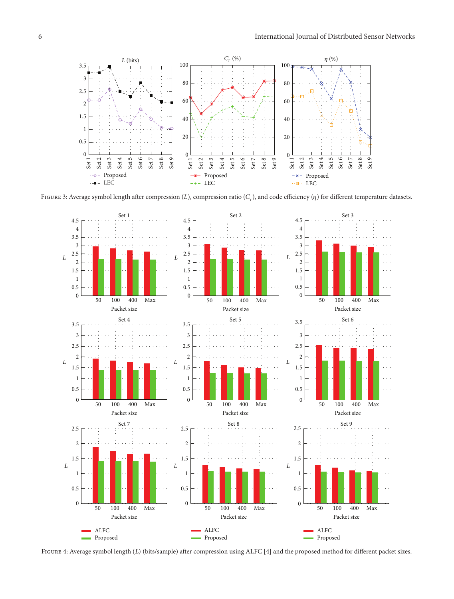

FIGURE 3: Average symbol length after compression (L), compression ratio (C<sub>r</sub>), and code efficiency ( $\eta$ ) for different temperature datasets.



FIGURE 4: Average symbol length (L) (bits/sample) after compression using ALFC [4] and the proposed method for different packet sizes.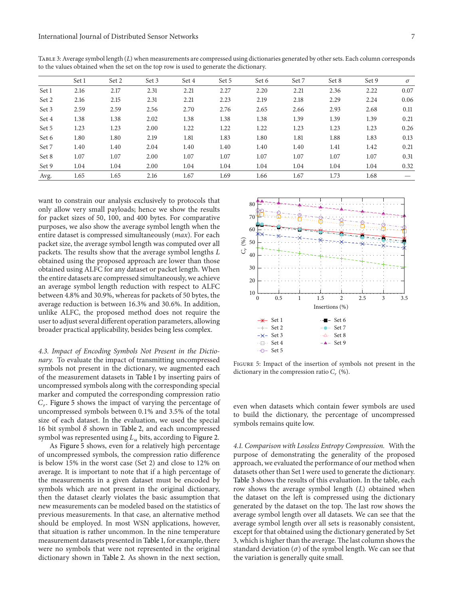|       | Set 1 | Set 2 | Set 3 | Set 4 | Set 5 | Set 6 | Set 7 | Set 8 | Set 9 | $\sigma$ |
|-------|-------|-------|-------|-------|-------|-------|-------|-------|-------|----------|
| Set 1 | 2.16  | 2.17  | 2.31  | 2.21  | 2.27  | 2.20  | 2.21  | 2.36  | 2.22  | 0.07     |
| Set 2 | 2.16  | 2.15  | 2.31  | 2.21  | 2.23  | 2.19  | 2.18  | 2.29  | 2.24  | 0.06     |
| Set 3 | 2.59  | 2.59  | 2.56  | 2.70  | 2.76  | 2.65  | 2.66  | 2.93  | 2.68  | 0.11     |
| Set 4 | 1.38  | 1.38  | 2.02  | 1.38  | 1.38  | 1.38  | 1.39  | 1.39  | 1.39  | 0.21     |
| Set 5 | 1.23  | 1.23  | 2.00  | 1.22  | 1.22  | 1.22  | 1.23  | 1.23  | 1.23  | 0.26     |
| Set 6 | 1.80  | 1.80  | 2.19  | 1.81  | 1.83  | 1.80  | 1.81  | 1.88  | 1.83  | 0.13     |
| Set 7 | 1.40  | 1.40  | 2.04  | 1.40  | 1.40  | 1.40  | 1.40  | 1.41  | 1.42  | 0.21     |
| Set 8 | 1.07  | 1.07  | 2.00  | 1.07  | 1.07  | 1.07  | 1.07  | 1.07  | 1.07  | 0.31     |
| Set 9 | 1.04  | 1.04  | 2.00  | 1.04  | 1.04  | 1.04  | 1.04  | 1.04  | 1.04  | 0.32     |
| Avg.  | 1.65  | 1.65  | 2.16  | 1.67  | 1.69  | 1.66  | 1.67  | 1.73  | 1.68  |          |

TABLE 3: Average symbol length (L) when measurements are compressed using dictionaries generated by other sets. Each column corresponds to the values obtained when the set on the top row is used to generate the dictionary.

want to constrain our analysis exclusively to protocols that only allow very small payloads; hence we show the results for packet sizes of 50, 100, and 400 bytes. For comparative purposes, we also show the average symbol length when the entire dataset is compressed simultaneously (*max*). For each packet size, the average symbol length was computed over all packets. The results show that the average symbol lengths L obtained using the proposed approach are lower than those obtained using ALFC for any dataset or packet length. When the entire datasets are compressed simultaneously, we achieve an average symbol length reduction with respect to ALFC between 4.8% and 30.9%, whereas for packets of 50 bytes, the average reduction is between 16.3% and 30.6%. In addition, unlike ALFC, the proposed method does not require the user to adjust several different operation parameters, allowing broader practical applicability, besides being less complex.

*4.3. Impact of Encoding Symbols Not Present in the Dictionary.* To evaluate the impact of transmitting uncompressed symbols not present in the dictionary, we augmented each of the measurement datasets in Table 1 by inserting pairs of uncompressed symbols along with the corresponding special marker and computed the corresponding compression ratio  $C_r$ . Figure 5 shows the impact of varying the percentage of uncompressed symbols between 0.1% and 3.5% of the total size of each dataset. In the evaluation, we used the special 16 bit symbol  $\delta$  shown in Table 2, and each uncompressed symbol was represented using  $L<sub>u</sub>$  bits, according to Figure 2.

As Figure 5 shows, even for a relatively high percentage of uncompressed symbols, the compression ratio difference is below 15% in the worst case (Set 2) and close to 12% on average. It is important to note that if a high percentage of the measurements in a given dataset must be encoded by symbols which are not present in the original dictionary, then the dataset clearly violates the basic assumption that new measurements can be modeled based on the statistics of previous measurements. In that case, an alternative method should be employed. In most WSN applications, however, that situation is rather uncommon. In the nine temperature measurement datasets presented in Table 1, for example, there were no symbols that were not represented in the original dictionary shown in Table 2. As shown in the next section,



Figure 5: Impact of the insertion of symbols not present in the dictionary in the compression ratio  $C_r$  (%).

even when datasets which contain fewer symbols are used to build the dictionary, the percentage of uncompressed symbols remains quite low.

*4.1. Comparison with Lossless Entropy Compression.* With the purpose of demonstrating the generality of the proposed approach, we evaluated the performance of our method when datasets other than Set 1 were used to generate the dictionary. Table 3 shows the results of this evaluation. In the table, each row shows the average symbol length  $(L)$  obtained when the dataset on the left is compressed using the dictionary generated by the dataset on the top. The last row shows the average symbol length over all datasets. We can see that the average symbol length over all sets is reasonably consistent, except for that obtained using the dictionary generated by Set 3, which is higher than the average.The last column shows the standard deviation  $(\sigma)$  of the symbol length. We can see that the variation is generally quite small.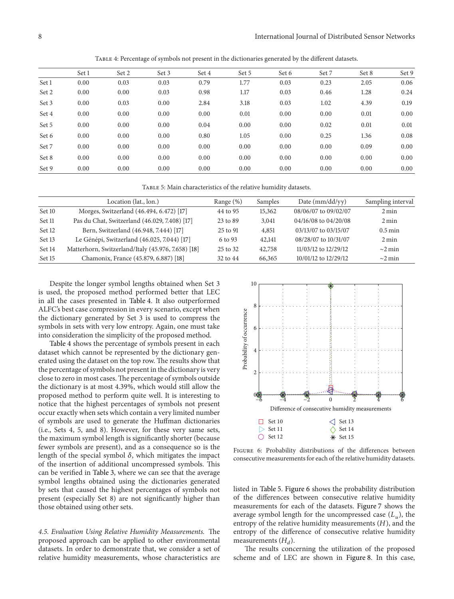|       | Set 1 | Set 2 | Set 3 | Set 4 | Set 5 | Set 6 | Set 7 | Set 8 | Set 9 |
|-------|-------|-------|-------|-------|-------|-------|-------|-------|-------|
| Set 1 | 0.00  | 0.03  | 0.03  | 0.79  | 1.77  | 0.03  | 0.23  | 2.05  | 0.06  |
| Set 2 | 0.00  | 0.00  | 0.03  | 0.98  | 1.17  | 0.03  | 0.46  | 1.28  | 0.24  |
| Set 3 | 0.00  | 0.03  | 0.00  | 2.84  | 3.18  | 0.03  | 1.02  | 4.39  | 0.19  |
| Set 4 | 0.00  | 0.00  | 0.00  | 0.00  | 0.01  | 0.00  | 0.00  | 0.01  | 0.00  |
| Set 5 | 0.00  | 0.00  | 0.00  | 0.04  | 0.00  | 0.00  | 0.02  | 0.01  | 0.01  |
| Set 6 | 0.00  | 0.00  | 0.00  | 0.80  | 1.05  | 0.00  | 0.25  | 1.36  | 0.08  |
| Set 7 | 0.00  | 0.00  | 0.00  | 0.00  | 0.00  | 0.00  | 0.00  | 0.09  | 0.00  |
| Set 8 | 0.00  | 0.00  | 0.00  | 0.00  | 0.00  | 0.00  | 0.00  | 0.00  | 0.00  |
| Set 9 | 0.00  | 0.00  | 0.00  | 0.00  | 0.00  | 0.00  | 0.00  | 0.00  | 0.00  |

Table 4: Percentage of symbols not present in the dictionaries generated by the different datasets.

TABLE 5: Main characteristics of the relative humidity datasets.

|        | Location (lat., lon.)                              | Range $(\%)$ | Samples | Date $\text{(mm/dd/yy)}$ | Sampling interval |
|--------|----------------------------------------------------|--------------|---------|--------------------------|-------------------|
| Set 10 | Morges, Switzerland (46.494, 6.472) [17]           | 44 to 95     | 15,362  | 08/06/07 to 09/02/07     | $2 \text{ min}$   |
| Set 11 | Pas du Chat, Switzerland (46.029, 7.408) [17]      | 23 to 89     | 3,041   | 04/16/08 to 04/20/08     | $2 \text{ min}$   |
| Set 12 | Bern, Switzerland (46.948, 7.444) [17]             | 25 to 91     | 4,851   | 03/13/07 to 03/15/07     | $0.5$ min         |
| Set 13 | Le Génépi, Switzerland (46.025, 7.044) [17]        | 6 to 93      | 42,141  | 08/28/07 to 10/31/07     | $2 \text{ min}$   |
| Set 14 | Matterhorn, Switzerland/Italy (45.976, 7.658) [18] | 25 to 32     | 42,758  | 11/03/12 to 12/29/12     | $\sim$ 2 min      |
| Set 15 | Chamonix, France (45.879, 6.887) [18]              | 32 to 44     | 66,365  | 10/01/12 to 12/29/12     | $\sim$ 2 min      |

Despite the longer symbol lengths obtained when Set 3 is used, the proposed method performed better that LEC in all the cases presented in Table 4. It also outperformed ALFC's best case compression in every scenario, except when the dictionary generated by Set 3 is used to compress the symbols in sets with very low entropy. Again, one must take into consideration the simplicity of the proposed method.

Table 4 shows the percentage of symbols present in each dataset which cannot be represented by the dictionary generated using the dataset on the top row. The results show that the percentage of symbols not present in the dictionary is very close to zero in most cases.The percentage of symbols outside the dictionary is at most 4.39%, which would still allow the proposed method to perform quite well. It is interesting to notice that the highest percentages of symbols not present occur exactly when sets which contain a very limited number of symbols are used to generate the Huffman dictionaries (i.e., Sets 4, 5, and 8). However, for these very same sets, the maximum symbol length is significantly shorter (because fewer symbols are present), and as a consequence so is the length of the special symbol  $\delta$ , which mitigates the impact of the insertion of additional uncompressed symbols. This can be verified in Table 3, where we can see that the average symbol lengths obtained using the dictionaries generated by sets that caused the highest percentages of symbols not present (especially Set 8) are not significantly higher than those obtained using other sets.

*4.5. Evaluation Using Relative Humidity Measurements.* The proposed approach can be applied to other environmental datasets. In order to demonstrate that, we consider a set of relative humidity measurements, whose characteristics are



FIGURE 6: Probability distributions of the differences between consecutive measurements for each of the relative humidity datasets.

listed in Table 5. Figure 6 shows the probability distribution of the differences between consecutive relative humidity measurements for each of the datasets. Figure 7 shows the average symbol length for the uncompressed case  $(L_u)$ , the entropy of the relative humidity measurements  $(H)$ , and the entropy of the difference of consecutive relative humidity measurements  $(H_d)$ .

The results concerning the utilization of the proposed scheme and of LEC are shown in Figure 8. In this case,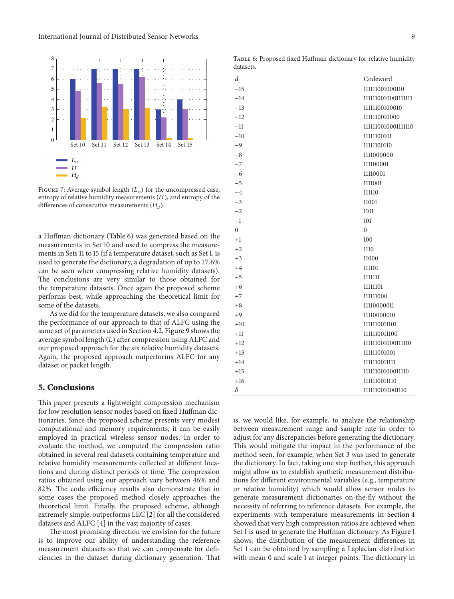

FIGURE 7: Average symbol length  $(L_u)$  for the uncompressed case, entropy of relative humidity measurements  $(H)$ , and entropy of the differences of consecutive measurements  $(H_d)$ .

a Huffman dictionary (Table 6) was generated based on the measurements in Set 10 and used to compress the measurements in Sets 11 to 15 (if a temperature dataset, such as Set 1, is used to generate the dictionary, a degradation of up to 17.6% can be seen when compressing relative humidity datasets). The conclusions are very similar to those obtained for the temperature datasets. Once again the proposed scheme performs best, while approaching the theoretical limit for some of the datasets.

As we did for the temperature datasets, we also compared the performance of our approach to that of ALFC using the same set of parameters used in Section 4.2. Figure 9 shows the average symbol length  $(L)$  after compression using ALFC and our proposed approach for the six relative humidity datasets. Again, the proposed approach outperforms ALFC for any dataset or packet length.

#### **5. Conclusions**

This paper presents a lightweight compression mechanism for low resolution sensor nodes based on fixed Huffman dictionaries. Since the proposed scheme presents very modest computational and memory requirements, it can be easily employed in practical wireless sensor nodes. In order to evaluate the method, we computed the compression ratio obtained in several real datasets containing temperature and relative humidity measurements collected at different locations and during distinct periods of time. The compression ratios obtained using our approach vary between 46% and 82%. The code efficiency results also demonstrate that in some cases the proposed method closely approaches the theoretical limit. Finally, the proposed scheme, although extremely simple, outperforms LEC [2] for all the considered datasets and ALFC [4] in the vast majority of cases.

The most promising direction we envision for the future is to improve our ability of understanding the reference measurement datasets so that we can compensate for deficiencies in the dataset during dictionary generation. That

| TABLE 6: Proposed fixed Huffman dictionary for relative humidity<br>datasets. |                     |  |  |
|-------------------------------------------------------------------------------|---------------------|--|--|
| $d_i$                                                                         | Codeword            |  |  |
| $-15$                                                                         | 111111001000110     |  |  |
| $-14$                                                                         | 1111110010001111111 |  |  |
|                                                                               | 11111100100010      |  |  |

| $-15$        | 111111001000110     |
|--------------|---------------------|
| $-14$        | 1111110010001111111 |
| $-13$        | 11111100100010      |
| $-12$        | 1111110010000       |
| $-11$        | 1111110010001111110 |
| $-10$        | 11111100101         |
| $-9$         | 11111100110         |
| $-8$         | 1111000000          |
| $-7$         | 111100001           |
| $-6$         | 11110001            |
| $-5$         | 1111001             |
| $-4$         | 111110              |
| $-3$         | 11001               |
| $-2$         | 1101                |
| $-1$         | 101                 |
| $\mathbf{0}$ | $\mathbf{0}$        |
| $+1$         | 100                 |
| $+2$         | 1110                |
| $+3$         | 11000               |
| $+4$         | 111101              |
| $+5$         | 11111111            |
| $+6$         | 11111101            |
| $+7$         | 111111000           |
| $+8$         | 11110000011         |
| $+9$         | 11110000010         |
| $+10$        | 1111110011101       |
| $+11$        | 1111110011100       |
| $+12$        | 111111001000111110  |
| $+13$        | 111111001001        |
| $+14$        | 1111110011111       |
| $+15$        | 11111100100011110   |
| $+16$        | 1111110011110       |
| $\delta$     | 1111110010001110    |

is, we would like, for example, to analyze the relationship between measurement range and sample rate in order to adjust for any discrepancies before generating the dictionary. This would mitigate the impact in the performance of the method seen, for example, when Set 3 was used to generate the dictionary. In fact, taking one step further, this approach might allow us to establish synthetic measurement distributions for different environmental variables (e.g., temperature or relative humidity) which would allow sensor nodes to generate measurement dictionaries on-the-fly without the necessity of referring to reference datasets. For example, the experiments with temperature measurements in Section 4 showed that very high compression ratios are achieved when Set 1 is used to generate the Huffman dictionary. As Figure 1 shows, the distribution of the measurement differences in Set 1 can be obtained by sampling a Laplacian distribution with mean 0 and scale 1 at integer points. The dictionary in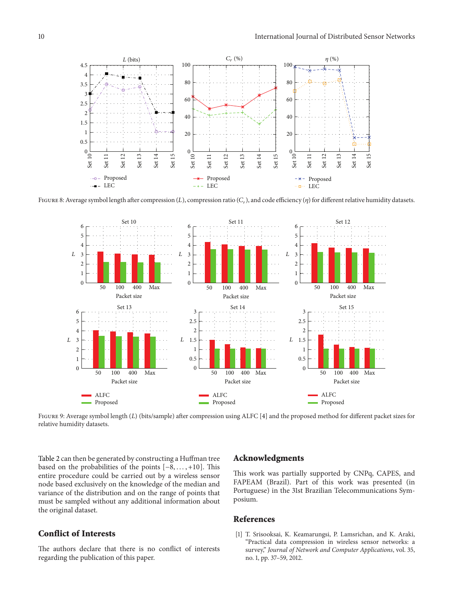

FIGURE 8: Average symbol length after compression (L), compression ratio (C<sub>r</sub>), and code efficiency ( $\eta$ ) for different relative humidity datasets.



FIGURE 9: Average symbol length (L) (bits/sample) after compression using ALFC [4] and the proposed method for different packet sizes for relative humidity datasets.

Table 2 can then be generated by constructing a Huffman tree based on the probabilities of the points [−8, . . . , +10]. This entire procedure could be carried out by a wireless sensor node based exclusively on the knowledge of the median and variance of the distribution and on the range of points that must be sampled without any additional information about the original dataset.

#### **Conflict of Interests**

The authors declare that there is no conflict of interests regarding the publication of this paper.

#### **Acknowledgments**

This work was partially supported by CNPq, CAPES, and FAPEAM (Brazil). Part of this work was presented (in Portuguese) in the 31st Brazilian Telecommunications Symposium.

#### **References**

[1] T. Srisooksai, K. Keamarungsi, P. Lamsrichan, and K. Araki, "Practical data compression in wireless sensor networks: a survey," *Journal of Network and Computer Applications*, vol. 35, no. 1, pp. 37–59, 2012.